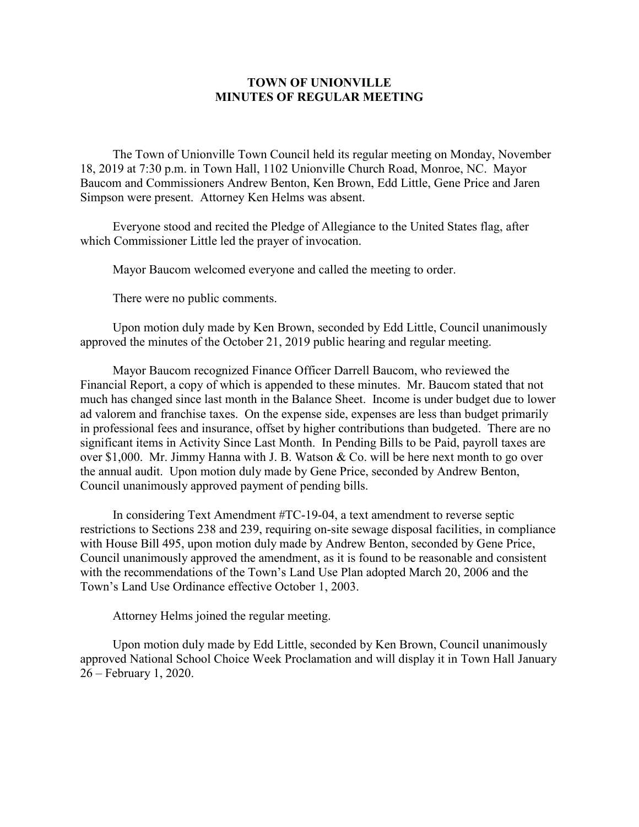## **TOWN OF UNIONVILLE MINUTES OF REGULAR MEETING**

The Town of Unionville Town Council held its regular meeting on Monday, November 18, 2019 at 7:30 p.m. in Town Hall, 1102 Unionville Church Road, Monroe, NC. Mayor Baucom and Commissioners Andrew Benton, Ken Brown, Edd Little, Gene Price and Jaren Simpson were present. Attorney Ken Helms was absent.

Everyone stood and recited the Pledge of Allegiance to the United States flag, after which Commissioner Little led the prayer of invocation.

Mayor Baucom welcomed everyone and called the meeting to order.

There were no public comments.

Upon motion duly made by Ken Brown, seconded by Edd Little, Council unanimously approved the minutes of the October 21, 2019 public hearing and regular meeting.

Mayor Baucom recognized Finance Officer Darrell Baucom, who reviewed the Financial Report, a copy of which is appended to these minutes. Mr. Baucom stated that not much has changed since last month in the Balance Sheet. Income is under budget due to lower ad valorem and franchise taxes. On the expense side, expenses are less than budget primarily in professional fees and insurance, offset by higher contributions than budgeted. There are no significant items in Activity Since Last Month. In Pending Bills to be Paid, payroll taxes are over \$1,000. Mr. Jimmy Hanna with J. B. Watson & Co. will be here next month to go over the annual audit. Upon motion duly made by Gene Price, seconded by Andrew Benton, Council unanimously approved payment of pending bills.

In considering Text Amendment #TC-19-04, a text amendment to reverse septic restrictions to Sections 238 and 239, requiring on-site sewage disposal facilities, in compliance with House Bill 495, upon motion duly made by Andrew Benton, seconded by Gene Price, Council unanimously approved the amendment, as it is found to be reasonable and consistent with the recommendations of the Town's Land Use Plan adopted March 20, 2006 and the Town's Land Use Ordinance effective October 1, 2003.

Attorney Helms joined the regular meeting.

Upon motion duly made by Edd Little, seconded by Ken Brown, Council unanimously approved National School Choice Week Proclamation and will display it in Town Hall January 26 – February 1, 2020.